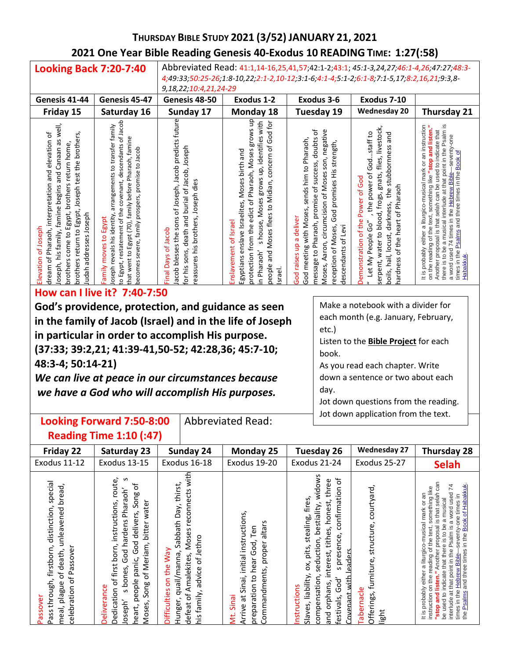# **THURSDAY BIBLE STUDY 2021 (3/52) JANUARY 21, 2021 2021 One Year Bible Reading Genesis 40-Exodus 10 READING TIME: 1:27(:58)**

| <b>Looking Back 7:20-7:40</b>                                                                                                                                                                                                                                                         |                                                                                                                                                                                                                                                                        | Abbreviated Read: 41:1,14-16,25,41,57;42:1-2;43:1; 45:1-3,24,27;46:1-4,26;47:27;48:3-<br>4;49:33;50:25-26;1:8-10,22;2:1-2,10-12;3:1-6;4:1-4;5:1-2;6:1-8;7:1-5,17;8:2,16,21;9:3,8-       |                                                                                                                                                                                                                                                                               |                                                                                                                                                                                                                                                                         |                                                                                                                                                                                                                                                          |                                                                                                                                                                                                                                                                                                                                                                                                                                           |  |  |
|---------------------------------------------------------------------------------------------------------------------------------------------------------------------------------------------------------------------------------------------------------------------------------------|------------------------------------------------------------------------------------------------------------------------------------------------------------------------------------------------------------------------------------------------------------------------|-----------------------------------------------------------------------------------------------------------------------------------------------------------------------------------------|-------------------------------------------------------------------------------------------------------------------------------------------------------------------------------------------------------------------------------------------------------------------------------|-------------------------------------------------------------------------------------------------------------------------------------------------------------------------------------------------------------------------------------------------------------------------|----------------------------------------------------------------------------------------------------------------------------------------------------------------------------------------------------------------------------------------------------------|-------------------------------------------------------------------------------------------------------------------------------------------------------------------------------------------------------------------------------------------------------------------------------------------------------------------------------------------------------------------------------------------------------------------------------------------|--|--|
|                                                                                                                                                                                                                                                                                       |                                                                                                                                                                                                                                                                        | 9,18,22;10:4,21,24-29                                                                                                                                                                   |                                                                                                                                                                                                                                                                               |                                                                                                                                                                                                                                                                         |                                                                                                                                                                                                                                                          |                                                                                                                                                                                                                                                                                                                                                                                                                                           |  |  |
| Genesis 41-44                                                                                                                                                                                                                                                                         | Genesis 45-47                                                                                                                                                                                                                                                          | Genesis 48-50                                                                                                                                                                           | Exodus 1-2                                                                                                                                                                                                                                                                    | <b>Exodus 3-6</b>                                                                                                                                                                                                                                                       | Exodus 7-10                                                                                                                                                                                                                                              |                                                                                                                                                                                                                                                                                                                                                                                                                                           |  |  |
| Friday 15                                                                                                                                                                                                                                                                             | Saturday 16                                                                                                                                                                                                                                                            | Sunday 17                                                                                                                                                                               | Monday 18                                                                                                                                                                                                                                                                     | <b>Tuesday 19</b>                                                                                                                                                                                                                                                       | <b>Wednesday 20</b>                                                                                                                                                                                                                                      | Thursday 21                                                                                                                                                                                                                                                                                                                                                                                                                               |  |  |
| well,<br>and elevation of<br>return to Egypt, Joseph test the brothers,<br>Sβ<br>brothers come to Egypt, brothers return home,<br>Canaan<br>and<br>dream of Pharaoh, interpretation<br>Joseph, his family, famine begins<br>Judah addresses Joseph<br>Elevation of Joseph<br>brothers | to Egypt, restatement of the covenant, descendants of Jacob<br>arrangements to transfer family<br>that went to Egypt (70), family before Pharaoh, famine<br>becomes severe, family prospers, promise to Jacob<br>Joseph reveals his identity,<br>Family moves to Egypt | Jacob blesses the sons of Joseph, Jacob predicts future<br>death and burial of Jacob, Joseph<br>Joseph dies<br>reassures his brothers,<br>of Jacob<br>sons,<br>Days<br>for his<br>Final | g<br>s house, Moses grows up, identifies with<br>and Moses flees to Midian, concern of God for<br>grows<br>Pharaoh, Moses<br>Moses birth and<br>edict of<br>Egyptians enslave Israelites,<br>Enslavement of Israel<br>protection from the<br>in Pharaoh'<br>people<br>Israel. | message to Pharaoh, promise of success, doubts of<br>Aaron, circumcision of Moses son, negative<br>sends him to Pharaoh,<br>God promises His strength,<br>meeting with Moses,<br>God raises up a deliver<br>reception of Moses,<br>descendants of Levi<br>Moses,<br>God | flies, livestock,<br>the power of Godstaff to<br>pue<br>the stubbornness<br>serpent, water to blood, frogs, gnats,<br>Power of God<br>nardness of the heart of Pharaoh<br>darkness,<br>Demonstration of the<br>Let My People Go"<br>boils, hail, locust, | Psalm is<br>an instruction<br>stop and listen.<br>selah can be used to indicate that<br>seventy-one<br>at that point in the<br>৳<br>and three times in the Book<br>It is probably either a liturgico-musical mark or<br>74 times in the Hebrew Bible<br>something like<br>a musical interlude<br>text.<br>that<br>on the reading of the<br>times in the Psalms<br>Another proposal is<br>there is to be<br>a word used<br><b>Habakkuk</b> |  |  |

#### **How can I live it? 7:40-7:50**

**God's providence, protection, and guidance as seen in the family of Jacob (Israel) and in the life of Joseph in particular in order to accomplish His purpose. (37:33; 39:2,21; 41:39-41,50-52; 42:28,36; 45:7-10; 48:3-4; 50:14-21)**

*We can live at peace in our circumstances because we have a God who will accomplish His purposes.*

Make a notebook with a divider for each month (e.g. January, February,

etc.)

Listen to the **Bible Project** for each book.

As you read each chapter. Write down a sentence or two about each day.

Jot down questions from the reading. Jot down application from the text.

#### **Looking Forward 7:50-8:00 Reading Time 1:10 (:47)** Abbreviated Read:

| Friday 22                                                                                                                                          | Saturday 23                                                                                                                                                                                                                      | Sunday 24                                                                                                                                                                   | <b>Monday 25</b>                                                                                                                                     | <b>Tuesday 26</b>                                                                                                                                                                                                                                                                                           | <b>Wednesday 27</b>                                                         | <b>Thursday 28</b>                                                                                                                                                                                                                                                                                                                                                                                                                                                   |
|----------------------------------------------------------------------------------------------------------------------------------------------------|----------------------------------------------------------------------------------------------------------------------------------------------------------------------------------------------------------------------------------|-----------------------------------------------------------------------------------------------------------------------------------------------------------------------------|------------------------------------------------------------------------------------------------------------------------------------------------------|-------------------------------------------------------------------------------------------------------------------------------------------------------------------------------------------------------------------------------------------------------------------------------------------------------------|-----------------------------------------------------------------------------|----------------------------------------------------------------------------------------------------------------------------------------------------------------------------------------------------------------------------------------------------------------------------------------------------------------------------------------------------------------------------------------------------------------------------------------------------------------------|
| <b>Exodus 11-12</b>                                                                                                                                | <b>Exodus 13-15</b>                                                                                                                                                                                                              | Exodus 16-18                                                                                                                                                                | Exodus 19-20                                                                                                                                         | Exodus 21-24                                                                                                                                                                                                                                                                                                | Exodus 25-27                                                                | <b>Selah</b>                                                                                                                                                                                                                                                                                                                                                                                                                                                         |
| special<br>bread,<br>distinction,<br>unleavened<br>firstborn,<br>celebration of Passover<br>of death,<br>Pass through,<br>meal, plague<br>Passover | S<br>route<br>Ⴆ<br>God hardens Pharaoh'<br>delivers, Song<br>instructions,<br>water<br>bitter<br>heart, people panic, God<br>Song of Meriam,<br>Dedication of first born,<br>s bones,<br><b>Deliverance</b><br>Joseph'<br>Moses, | Moses reconnects with<br>Sabbath Day, thirst,<br>advice of Jethro<br>VeW<br>Hunger, quail/manna,<br>defeat of Amalekites,<br>the<br>S<br><b>Difficulties</b><br>his family, | initial instructions,<br>altars<br>Ten<br>hear God,<br>Commandments, proper<br>preparation to<br>at Sinai,<br>Sinai<br>Arrive<br>ن <del>ا</del><br>ا | widows<br>$\rm ^{5}$<br>three<br>confirmation<br>fires,<br>honest,<br>bestiality,<br>stealing,<br>tithes,<br>presence,<br>seduction,<br>ox, pits,<br>leaders<br>interest,<br>$\mathfrak o$<br>liability,<br>compensation,<br>Covenant with<br>God'<br>and orphans,<br>Instructions<br>festivals,<br>Slaves, | courtyard,<br>structure,<br>furniture,<br>Tabernacle<br>Offerings,<br>light | selah can<br>times in the <u>Hebrew Bible</u> —seventy-one times in<br>the <u>Psalms</u> and three times in the <u>Book of Habakkuk</u><br>74<br>something like<br>a word used<br>or an<br>a musical<br>-musical mark<br>that<br>Ω<br>be used to indicate that there is to be<br>proposal<br>interlude at that point in the Psalm is<br>text,<br>of the<br>a liturgico<br>Another<br>reading<br>either<br>the<br>instruction on<br>probably<br>and<br>dops.<br>lt is |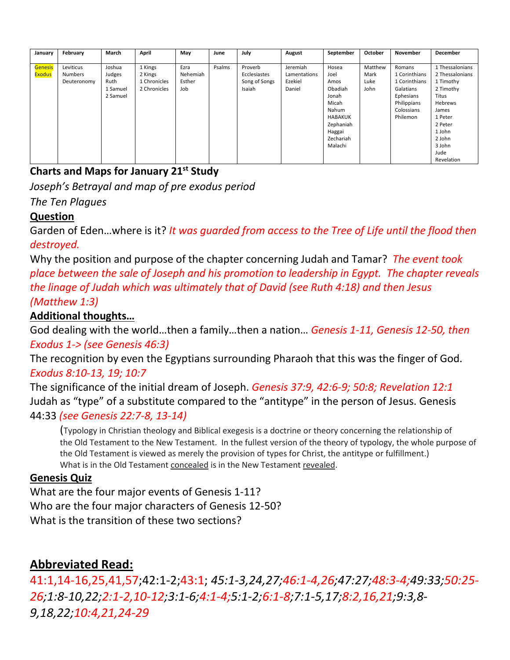| January        | February       | March    | April        | May      | June   | July          | August       | September      | October | November      | December        |
|----------------|----------------|----------|--------------|----------|--------|---------------|--------------|----------------|---------|---------------|-----------------|
|                |                |          |              |          |        |               |              |                |         |               |                 |
| <b>Genesis</b> | Leviticus      | Joshua   | 1 Kings      | Ezra     | Psalms | Proverb       | Jeremiah     | Hosea          | Matthew | Romans        | 1 Thessalonians |
| <b>Exodus</b>  | <b>Numbers</b> | Judges   | 2 Kings      | Nehemiah |        | Ecclesiastes  | Lamentations | Joel           | Mark    | 1 Corinthians | 2 Thessalonians |
|                | Deuteronomy    | Ruth     | 1 Chronicles | Esther   |        | Song of Songs | Ezekiel      | Amos           | Luke    | 1 Corinthians | 1 Timothy       |
|                |                | 1 Samuel | 2 Chronicles | Job      |        | Isaiah        | Daniel       | Obadiah        | John    | Galatians     | 2 Timothy       |
|                |                | 2 Samuel |              |          |        |               |              | Jonah          |         | Ephesians     | Titus           |
|                |                |          |              |          |        |               |              | Micah          |         | Philippians   | Hebrews         |
|                |                |          |              |          |        |               |              | Nahum          |         | Colossians    | James           |
|                |                |          |              |          |        |               |              | <b>HABAKUK</b> |         | Philemon      | 1 Peter         |
|                |                |          |              |          |        |               |              | Zephaniah      |         |               | 2 Peter         |
|                |                |          |              |          |        |               |              | Haggai         |         |               | 1 John          |
|                |                |          |              |          |        |               |              | Zechariah      |         |               | 2 John          |
|                |                |          |              |          |        |               |              | Malachi        |         |               | 3 John          |
|                |                |          |              |          |        |               |              |                |         |               | Jude            |
|                |                |          |              |          |        |               |              |                |         |               | Revelation      |

# **Charts and Maps for January 21st Study**

*Joseph's Betrayal and map of pre exodus period The Ten Plagues*

## **Question**

Garden of Eden…where is it? *It was guarded from access to the Tree of Life until the flood then destroyed.*

Why the position and purpose of the chapter concerning Judah and Tamar? *The event took place between the sale of Joseph and his promotion to leadership in Egypt. The chapter reveals the linage of Judah which was ultimately that of David (see Ruth 4:18) and then Jesus (Matthew 1:3)*

### **Additional thoughts…**

God dealing with the world…then a family…then a nation… *Genesis 1-11, Genesis 12-50, then Exodus 1-> (see Genesis 46:3)*

The recognition by even the Egyptians surrounding Pharaoh that this was the finger of God. *Exodus 8:10-13, 19; 10:7*

The significance of the initial dream of Joseph. *Genesis 37:9, 42:6-9; 50:8; Revelation 12:1* Judah as "type" of a substitute compared to the "antitype" in the person of Jesus. Genesis 44:33 *(see Genesis 22:7-8, 13-14)*

(Typology in Christian theology and Biblical exegesis is a doctrine or theory concerning the relationship of the Old Testament to the New Testament. In the fullest version of the theory of typology, the whole purpose of the Old Testament is viewed as merely the provision of types for Christ, the antitype or fulfillment.) What is in the Old Testament concealed is in the New Testament revealed.

#### **Genesis Quiz**

What are the four major events of Genesis 1-11? Who are the four major characters of Genesis 12-50? What is the transition of these two sections?

# **Abbreviated Read:**

41:1,14-16,25,41,57;42:1-2;43:1; *45:1-3,24,27;46:1-4,26;47:27;48:3-4;49:33;50:25- 26;1:8-10,22;2:1-2,10-12;3:1-6;4:1-4;5:1-2;6:1-8;7:1-5,17;8:2,16,21;9:3,8- 9,18,22;10:4,21,24-29*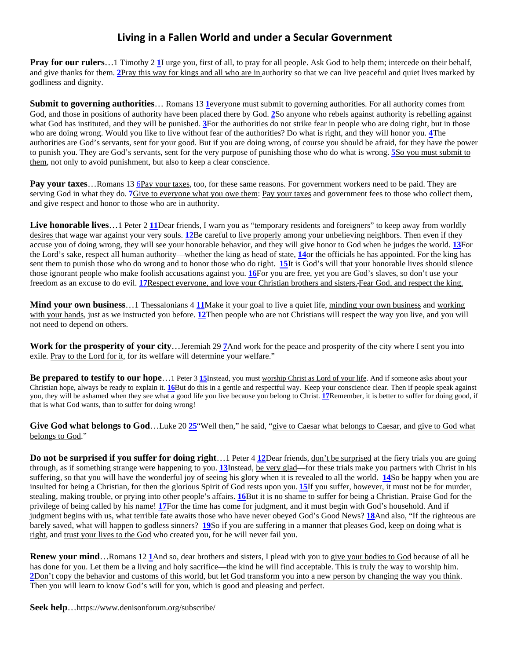#### **Living in a Fallen World and under a Secular Government**

**Prayfor our rulers**…[1](http://biblehub.com/1_timothy/2-1.htm) Timothy 2 **1**I urge you, first of all, to pray for all people. Ask God to help them; intercede on their behalf, and give thanks for them. **[2](http://biblehub.com/1_timothy/2-2.htm)**Pray this way for kings and all who are in authority so that we can live peaceful and quiet lives marked by godliness and dignity.

**Submitto governing authorities...** Romans [1](http://biblehub.com/romans/13-1.htm)3 **leveryone must submit to governing authorities**. For all authority comes from God, and those in positions of authority have been placed there by God[.](http://biblehub.com/romans/13-2.htm) **[2](http://biblehub.com/romans/13-2.htm)**So anyone who rebels against authority is rebelling against what God has instituted, and they will be punished[.](http://biblehub.com/romans/13-3.htm) **[3](http://biblehub.com/romans/13-3.htm)**For the authorities do not strike fear in people who are doing right, but in those who are doing wrong. Would you like to live without fear of the authorities? Do what is right, and they will honor you. **[4](http://biblehub.com/romans/13-4.htm)**The authorities are God's servants, sent for your good. But if you are doing wrong, of course you should be afraid, for they have the power to punish you. They are God's servants, sent for the very purpose of punishing those who do what is wrong.**[5](http://biblehub.com/romans/13-5.htm)**So you must submit to them, not only to avoid punishment, but also to keep a clear conscience.

**Pay your taxes...Romans 13 [6P](http://biblehub.com/romans/13-6.htm)ay your taxes, too, for these same reasons. For government workers need to be paid. They are** serving God in what they do[.](http://biblehub.com/romans/13-7.htm) **[7](http://biblehub.com/romans/13-7.htm)**Give to everyone what you owe them: Pay your taxes and government fees to those who collect them, and give respect and honor to those who are in authority.

Live honorable lives...1 Peter 2 [11](http://biblehub.com/1_peter/2-11.htm)Dear friends, I warn you as "temporary residents and foreigners" to keep away from worldly desires that wage war against your very souls. **[12](http://biblehub.com/1_peter/2-12.htm)**Be careful to live properly among your unbelieving neighbors. Then even if they accuse you of doing wrong, they will see your honorable behavior, and they will give honor to God when he judges the world[.](http://biblehub.com/1_peter/2-13.htm) **[13](http://biblehub.com/1_peter/2-13.htm)**For the Lord's sake, respect all human authority—whether the king as head of state, **[14](http://biblehub.com/1_peter/2-14.htm)**or the officials he has appointed. For the king has sent them to punish those who do wrong and to honor those who do right. **[15](http://biblehub.com/1_peter/2-15.htm)**It is God's will that your honorable lives should silence those ignorant people who make foolish accusations against you.**[16](http://biblehub.com/1_peter/2-16.htm)**For you are free, yet you are God's slaves, so don't use your freedom as an excuse to do evil.**[17](http://biblehub.com/1_peter/2-17.htm)**Respect everyone, and love your Christian brothers and sisters. Fear God, and respect the king.

**Mind your own business**...1 Thessalonians 4 **[11](http://biblehub.com/1_thessalonians/4-11.htm)**Make it your goal to live a quiet life, minding your own business and working with your hands, just as we instructed you before. **[12](http://biblehub.com/1_thessalonians/4-12.htm)**Then people who are not Christians will respect the way you live, and you will not need to depend on others.

**Work for the prosperity of your city**…Jeremiah 29**[7](http://biblehub.com/jeremiah/29-7.htm)**And work for the peace and prosperity of the city where I sent you into exile. Pray to the Lord for it, for its welfare will determine your welfare."

**Be prepared to testify to our hope**…1 Peter [3](http://biblehub.com/1_peter/3-15.htm) **[15](http://biblehub.com/1_peter/3-15.htm)**Instead, you must worship Christ as Lord of your life. And if someone asks about your Christian hope, always be ready to explain it.**[16](http://biblehub.com/1_peter/3-16.htm)**But do this in a gentle and respectful way. Keep your conscience clear. Then if people speak against you, they will be ashamed when they see what a good life you live because you belong to Christ[.](http://biblehub.com/1_peter/3-17.htm) **[17](http://biblehub.com/1_peter/3-17.htm)**Remember, it is better to suffer for doing good, if that is what God wants, than to suffer for doing wrong!

Give God what belongs to God...Luke 2[0](http://biblehub.com/luke/20-25.htm) [25](http://biblehub.com/luke/20-25.htm) "Well then," he said, "give to Caesar what belongs to Caesar, and give to God what belongs to God."

**Do not be surprised if you suffer for doing right**…1 Peter 4 **[12](http://biblehub.com/1_peter/4-12.htm)**Dear friends, don't be surprised at the fiery trials you are going through, as if something strange were happening to you. **[13](http://biblehub.com/1_peter/4-13.htm)**Instead, be very glad—for these trials make you partners with Christ in his suffering, so that you will have the wonderful joy of seeing his glory when it is revealed to all the world. **[14](http://biblehub.com/1_peter/4-14.htm)**So be happy when you are insulted for being a Christian, for then the glorious Spirit of God rests upon you. **[15](http://biblehub.com/1_peter/4-15.htm)**If you suffer, however, it must not be for murder, stealing, making trouble, or prying into other people's affairs. **[16](http://biblehub.com/1_peter/4-16.htm)**But it is no shame to suffer for being a Christian. Praise God for the privilege of being called by his name! **[17](http://biblehub.com/1_peter/4-17.htm)**For the time has come for judgment, and it must begin with God's household. And if judgment begins with us, what terrible fate awaits those who have never obeyed God's Good News? **[18](http://biblehub.com/1_peter/4-18.htm)**And also, "If the righteous are barely saved, what will happen to godless sinners? **[19](http://biblehub.com/1_peter/4-19.htm)**So if you are suffering in a manner that pleases God, keep on doing what is right, and trust your lives to the God who created you, for he will never fail you.

**Renew your mind**…Romans 1[2](http://biblehub.com/romans/12-1.htm) **[1](http://biblehub.com/romans/12-1.htm)**And so, dear brothers and sisters, I plead with you to give your bodies to God because of all he has done for you. Let them be a living and holy sacrifice—the kind he will find acceptable. This is truly the way to worship him. **[2](http://biblehub.com/romans/12-2.htm)**Don't copy the behavior and customs of this world, but let God transform you into a new person by changing the way you think. Then you will learn to know God's will for you, which is good and pleasing and perfect.

**Seek help**…https://www.denisonforum.org/subscribe/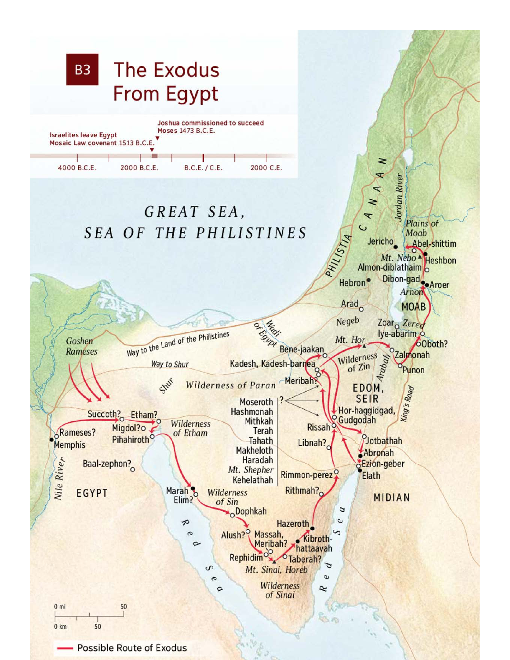